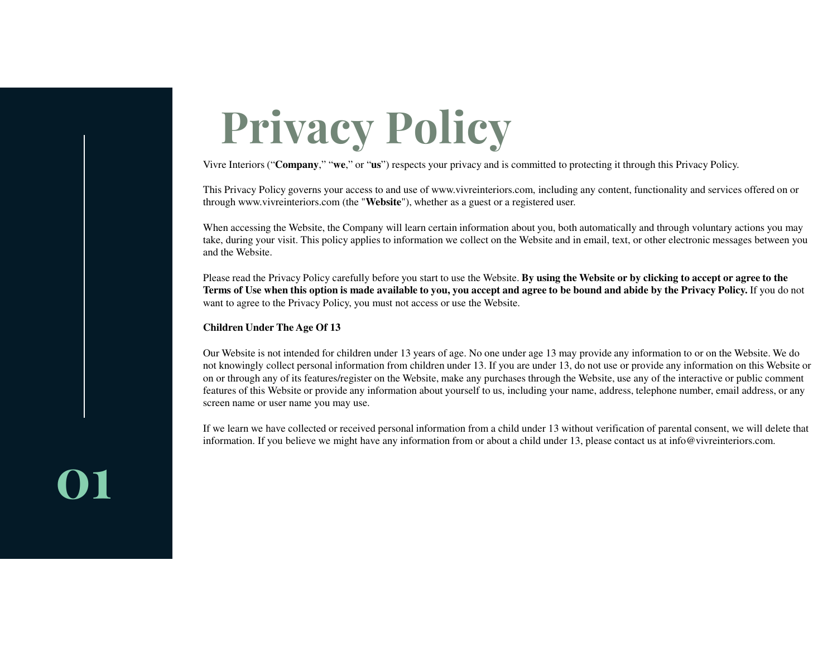# **Privacy Policy**

Vivre Interiors ("**Company**," "**we**," or "**us**") respects your privacy and is committed to protecting it through this Privacy Policy.

This Privacy Policy governs your access to and use of www.vivreinteriors.com, including any content, functionality and services offered on or through www.vivreinteriors.com (the "**Website**"), whether as a guest or a registered user.

When accessing the Website, the Company will learn certain information about you, both automatically and through voluntary actions you may take, during your visit. This policy applies to information we collect on the Website and in email, text, or other electronic messages between you and the Website.

Please read the Privacy Policy carefully before you start to use the Website. **By using the Website or by clicking to accept or agree to the Terms of Use when this option is made available to you, you accept and agree to be bound and abide by the Privacy Policy.** If you do not want to agree to the Privacy Policy, you must not access or use the Website.

# **Children Under The Age Of 13**

Our Website is not intended for children under 13 years of age. No one under age 13 may provide any information to or on the Website. We do not knowingly collect personal information from children under 13. If you are under 13, do not use or provide any information on this Website or on or through any of its features/register on the Website, make any purchases through the Website, use any of the interactive or public comment features of this Website or provide any information about yourself to us, including your name, address, telephone number, email address, or any screen name or user name you may use.

If we learn we have collected or received personal information from a child under 13 without verification of parental consent, we will delete that information. If you believe we might have any information from or about a child under 13, please contact us at info@vivreinteriors.com.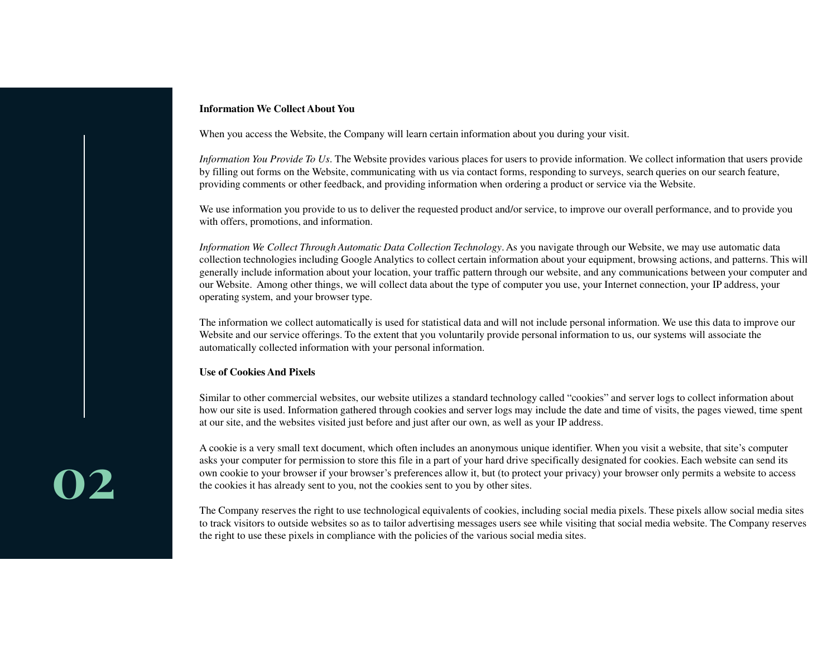### **Information We Collect About You**

When you access the Website, the Company will learn certain information about you during your visit.

*Information You Provide To Us*. The Website provides various places for users to provide information. We collect information that users provide by filling out forms on the Website, communicating with us via contact forms, responding to surveys, search queries on our search feature, providing comments or other feedback, and providing information when ordering a product or service via the Website.

We use information you provide to us to deliver the requested product and/or service, to improve our overall performance, and to provide you with offers, promotions, and information.

*Information We Collect Through Automatic Data Collection Technology*. As you navigate through our Website, we may use automatic data collection technologies including Google Analytics to collect certain information about your equipment, browsing actions, and patterns. This will generally include information about your location, your traffic pattern through our website, and any communications between your computer and our Website. Among other things, we will collect data about the type of computer you use, your Internet connection, your IP address, your operating system, and your browser type.

The information we collect automatically is used for statistical data and will not include personal information. We use this data to improve our Website and our service offerings. To the extent that you voluntarily provide personal information to us, our systems will associate the automatically collected information with your personal information.

# **Use of Cookies And Pixels**

Similar to other commercial websites, our website utilizes a standard technology called "cookies" and server logs to collect information about how our site is used. Information gathered through cookies and server logs may include the date and time of visits, the pages viewed, time spent at our site, and the websites visited just before and just after our own, as well as your IP address.

A cookie is a very small text document, which often includes an anonymous unique identifier. When you visit a website, that site's computer asks your computer for permission to store this file in a part of your hard drive specifically designated for cookies. Each website can send its own cookie to your browser if your browser's preferences allow it, but (to protect your privacy) your browser only permits a website to access the cookies it has already sent to you, not the cookies sent to you by other sites.

The Company reserves the right to use technological equivalents of cookies, including social media pixels. These pixels allow social media sites to track visitors to outside websites so as to tailor advertising messages users see while visiting that social media website. The Company reserves the right to use these pixels in compliance with the policies of the various social media sites.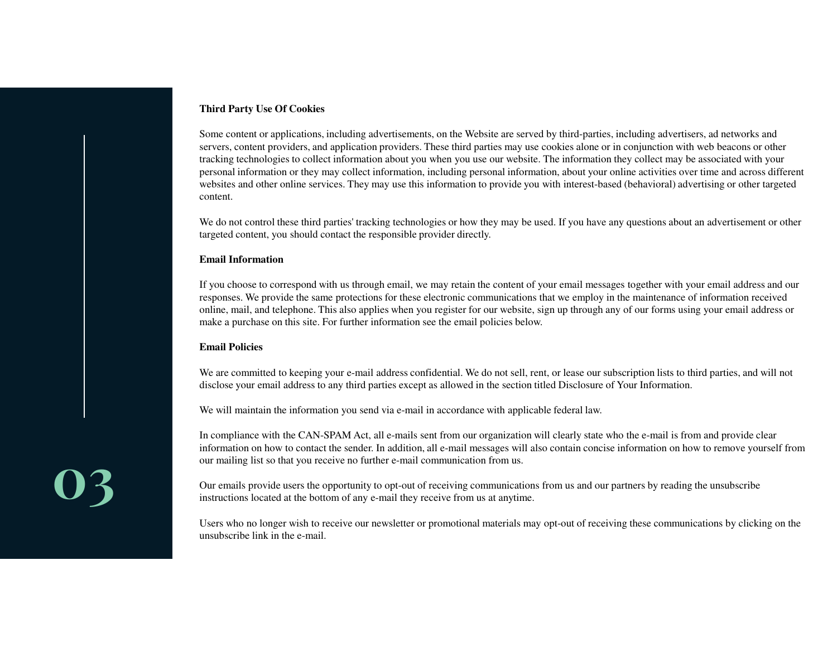# **Third Party Use Of Cookies**

Some content or applications, including advertisements, on the Website are served by third-parties, including advertisers, ad networks and servers, content providers, and application providers. These third parties may use cookies alone or in conjunction with web beacons or other tracking technologies to collect information about you when you use our website. The information they collect may be associated with your personal information or they may collect information, including personal information, about your online activities over time and across different websites and other online services. They may use this information to provide you with interest-based (behavioral) advertising or other targeted content.

We do not control these third parties' tracking technologies or how they may be used. If you have any questions about an advertisement or other targeted content, you should contact the responsible provider directly.

# **Email Information**

If you choose to correspond with us through email, we may retain the content of your email messages together with your email address and our responses. We provide the same protections for these electronic communications that we employ in the maintenance of information received online, mail, and telephone. This also applies when you register for our website, sign up through any of our forms using your email address or make a purchase on this site. For further information see the email policies below.

# **Email Policies**

We are committed to keeping your e-mail address confidential. We do not sell, rent, or lease our subscription lists to third parties, and will not disclose your email address to any third parties except as allowed in the section titled Disclosure of Your Information.

We will maintain the information you send via e-mail in accordance with applicable federal law.

In compliance with the CAN-SPAM Act, all e-mails sent from our organization will clearly state who the e-mail is from and provide clear information on how to contact the sender. In addition, all e-mail messages will also contain concise information on how to remove yourself from our mailing list so that you receive no further e-mail communication from us.

Our emails provide users the opportunity to opt-out of receiving communications from us and our partners by reading the unsubscribe instructions located at the bottom of any e-mail they receive from us at anytime.

Users who no longer wish to receive our newsletter or promotional materials may opt-out of receiving these communications by clicking on the unsubscribe link in the e-mail.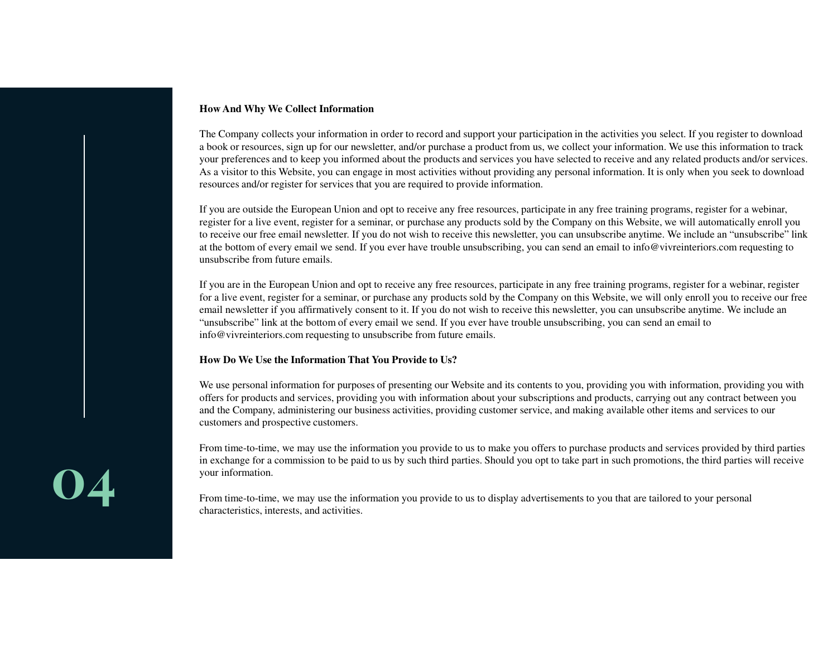### **How And Why We Collect Information**

The Company collects your information in order to record and support your participation in the activities you select. If you register to download a book or resources, sign up for our newsletter, and/or purchase a product from us, we collect your information. We use this information to track your preferences and to keep you informed about the products and services you have selected to receive and any related products and/or services. As a visitor to this Website, you can engage in most activities without providing any personal information. It is only when you seek to download resources and/or register for services that you are required to provide information.

If you are outside the European Union and opt to receive any free resources, participate in any free training programs, register for a webinar, register for a live event, register for a seminar, or purchase any products sold by the Company on this Website, we will automatically enroll you to receive our free email newsletter. If you do not wish to receive this newsletter, you can unsubscribe anytime. We include an "unsubscribe" link at the bottom of every email we send. If you ever have trouble unsubscribing, you can send an email to info@vivreinteriors.com requesting to unsubscribe from future emails.

If you are in the European Union and opt to receive any free resources, participate in any free training programs, register for a webinar, register for a live event, register for a seminar, or purchase any products sold by the Company on this Website, we will only enroll you to receive our free email newsletter if you affirmatively consent to it. If you do not wish to receive this newsletter, you can unsubscribe anytime. We include an "unsubscribe" link at the bottom of every email we send. If you ever have trouble unsubscribing, you can send an email to info@vivreinteriors.com requesting to unsubscribe from future emails.

### **How Do We Use the Information That You Provide to Us?**

We use personal information for purposes of presenting our Website and its contents to you, providing you with information, providing you with offers for products and services, providing you with information about your subscriptions and products, carrying out any contract between you and the Company, administering our business activities, providing customer service, and making available other items and services to our customers and prospective customers.

From time-to-time, we may use the information you provide to us to make you offers to purchase products and services provided by third parties in exchange for a commission to be paid to us by such third parties. Should you opt to take part in such promotions, the third parties will receive your information.

From time-to-time, we may use the information you provide to us to display advertisements to you that are tailored to your personal characteristics, interests, and activities.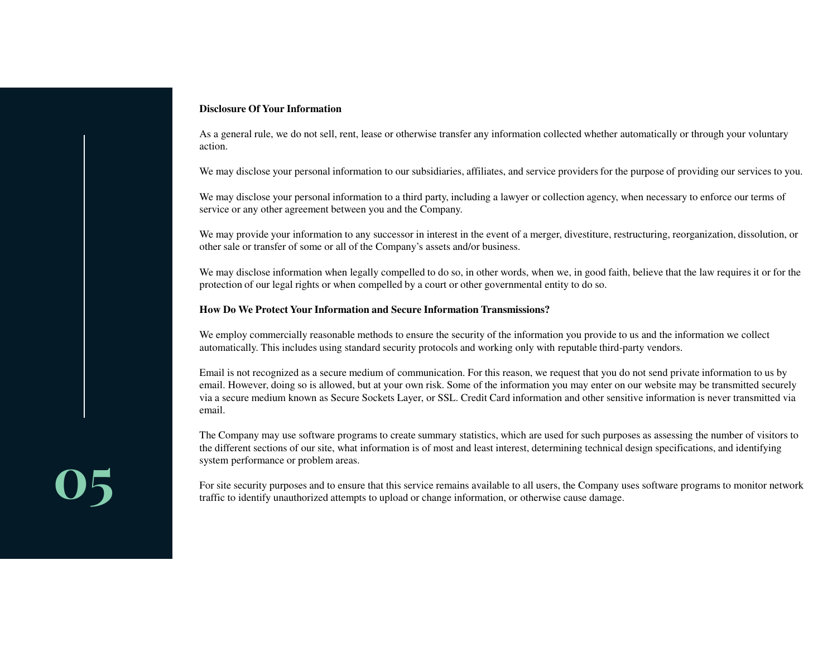### **Disclosure Of Your Information**

As a general rule, we do not sell, rent, lease or otherwise transfer any information collected whether automatically or through your voluntaryaction.

We may disclose your personal information to our subsidiaries, affiliates, and service providers for the purpose of providing our services to you.

We may disclose your personal information to a third party, including a lawyer or collection agency, when necessary to enforce our terms of service or any other agreement between you and the Company.

We may provide your information to any successor in interest in the event of a merger, divestiture, restructuring, reorganization, dissolution, or other sale or transfer of some or all of the Company's assets and/or business.

We may disclose information when legally compelled to do so, in other words, when we, in good faith, believe that the law requires it or for the protection of our legal rights or when compelled by a court or other governmental entity to do so.

### **How Do We Protect Your Information and Secure Information Transmissions?**

We employ commercially reasonable methods to ensure the security of the information you provide to us and the information we collect automatically. This includes using standard security protocols and working only with reputable third-party vendors.

Email is not recognized as a secure medium of communication. For this reason, we request that you do not send private information to us by email. However, doing so is allowed, but at your own risk. Some of the information you may enter on our website may be transmitted securely via a secure medium known as Secure Sockets Layer, or SSL. Credit Card information and other sensitive information is never transmitted via email.

The Company may use software programs to create summary statistics, which are used for such purposes as assessing the number of visitors to the different sections of our site, what information is of most and least interest, determining technical design specifications, and identifying system performance or problem areas.

For site security purposes and to ensure that this service remains available to all users, the Company uses software programs to monitor network traffic to identify unauthorized attempts to upload or change information, or otherwise cause damage.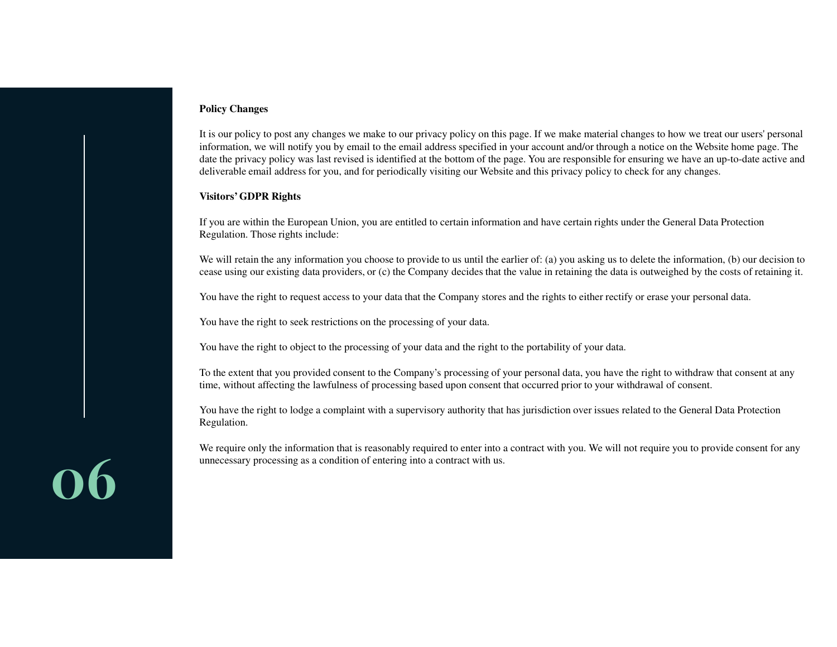# **Policy Changes**

It is our policy to post any changes we make to our privacy policy on this page. If we make material changes to how we treat our users' personal information, we will notify you by email to the email address specified in your account and/or through a notice on the Website home page. The date the privacy policy was last revised is identified at the bottom of the page. You are responsible for ensuring we have an up-to-date active and deliverable email address for you, and for periodically visiting our Website and this privacy policy to check for any changes.

# **Visitors' GDPR Rights**

If you are within the European Union, you are entitled to certain information and have certain rights under the General Data Protection Regulation. Those rights include:

We will retain the any information you choose to provide to us until the earlier of: (a) you asking us to delete the information, (b) our decision to cease using our existing data providers, or (c) the Company decides that the value in retaining the data is outweighed by the costs of retaining it.

You have the right to request access to your data that the Company stores and the rights to either rectify or erase your personal data.

You have the right to seek restrictions on the processing of your data.

You have the right to object to the processing of your data and the right to the portability of your data.

To the extent that you provided consent to the Company's processing of your personal data, you have the right to withdraw that consent at any time, without affecting the lawfulness of processing based upon consent that occurred prior to your withdrawal of consent.

You have the right to lodge a complaint with a supervisory authority that has jurisdiction over issues related to the General Data Protection Regulation.

We require only the information that is reasonably required to enter into a contract with you. We will not require you to provide consent for any unnecessary processing as a condition of entering into a contract with us.